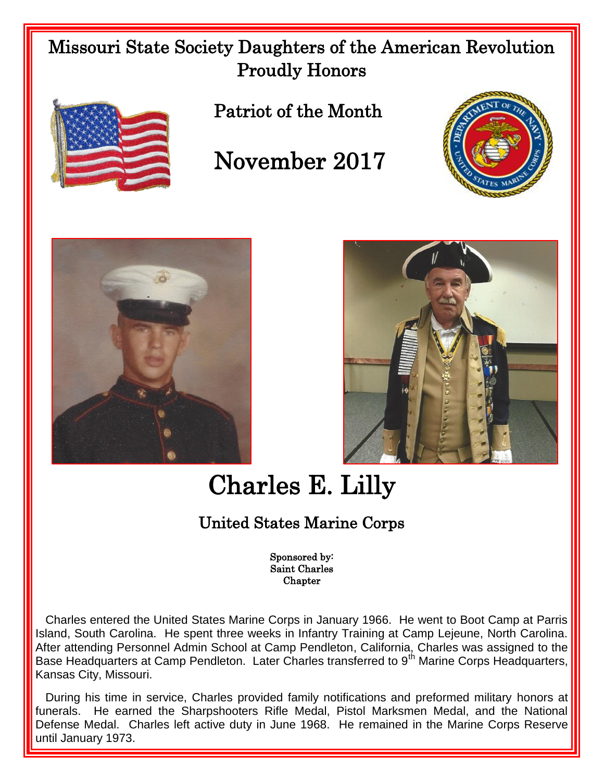## Missouri State Society Daughters of the American Revolution Proudly Honors



Patriot of the Month

## November 2017







## Charles E. Lilly

## United States Marine Corps

Sponsored by: Saint Charles Chapter

 Charles entered the United States Marine Corps in January 1966. He went to Boot Camp at Parris Island, South Carolina. He spent three weeks in Infantry Training at Camp Lejeune, North Carolina. After attending Personnel Admin School at Camp Pendleton, California, Charles was assigned to the Base Headquarters at Camp Pendleton. Later Charles transferred to 9<sup>th</sup> Marine Corps Headquarters, Kansas City, Missouri.

 During his time in service, Charles provided family notifications and preformed military honors at funerals. He earned the Sharpshooters Rifle Medal, Pistol Marksmen Medal, and the National Defense Medal. Charles left active duty in June 1968. He remained in the Marine Corps Reserve until January 1973.